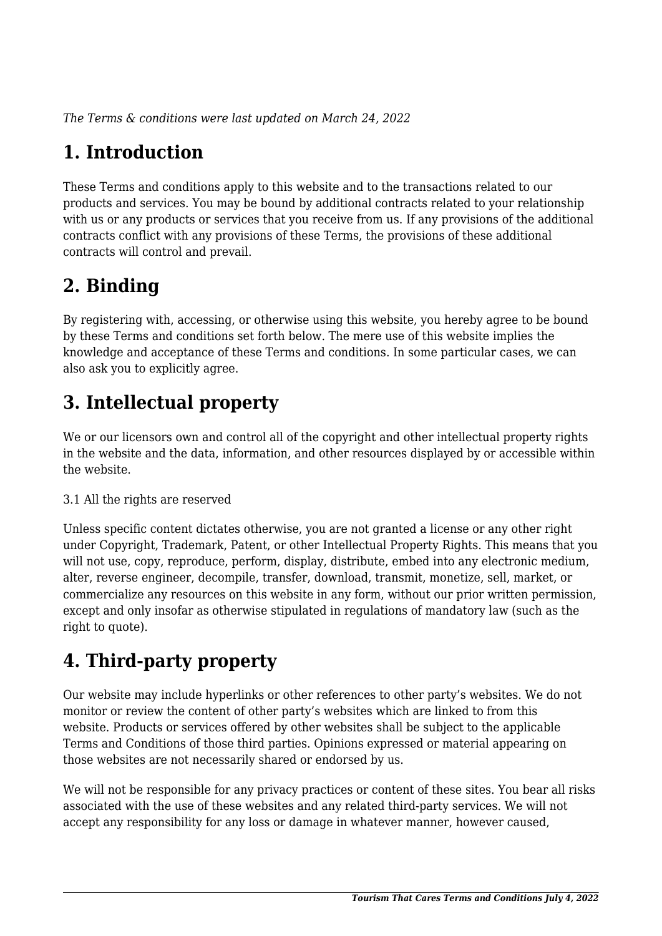*The Terms & conditions were last updated on March 24, 2022*

# **1. Introduction**

These Terms and conditions apply to this website and to the transactions related to our products and services. You may be bound by additional contracts related to your relationship with us or any products or services that you receive from us. If any provisions of the additional contracts conflict with any provisions of these Terms, the provisions of these additional contracts will control and prevail.

## **2. Binding**

By registering with, accessing, or otherwise using this website, you hereby agree to be bound by these Terms and conditions set forth below. The mere use of this website implies the knowledge and acceptance of these Terms and conditions. In some particular cases, we can also ask you to explicitly agree.

# **3. Intellectual property**

We or our licensors own and control all of the copyright and other intellectual property rights in the website and the data, information, and other resources displayed by or accessible within the website.

#### 3.1 All the rights are reserved

Unless specific content dictates otherwise, you are not granted a license or any other right under Copyright, Trademark, Patent, or other Intellectual Property Rights. This means that you will not use, copy, reproduce, perform, display, distribute, embed into any electronic medium, alter, reverse engineer, decompile, transfer, download, transmit, monetize, sell, market, or commercialize any resources on this website in any form, without our prior written permission, except and only insofar as otherwise stipulated in regulations of mandatory law (such as the right to quote).

## **4. Third-party property**

Our website may include hyperlinks or other references to other party's websites. We do not monitor or review the content of other party's websites which are linked to from this website. Products or services offered by other websites shall be subject to the applicable Terms and Conditions of those third parties. Opinions expressed or material appearing on those websites are not necessarily shared or endorsed by us.

We will not be responsible for any privacy practices or content of these sites. You bear all risks associated with the use of these websites and any related third-party services. We will not accept any responsibility for any loss or damage in whatever manner, however caused,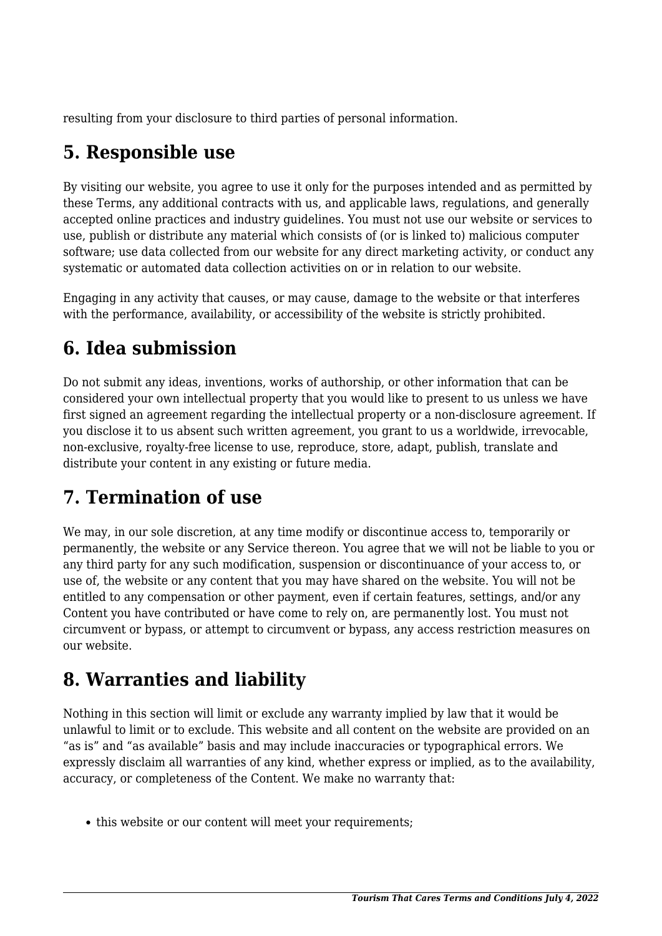resulting from your disclosure to third parties of personal information.

## **5. Responsible use**

By visiting our website, you agree to use it only for the purposes intended and as permitted by these Terms, any additional contracts with us, and applicable laws, regulations, and generally accepted online practices and industry guidelines. You must not use our website or services to use, publish or distribute any material which consists of (or is linked to) malicious computer software; use data collected from our website for any direct marketing activity, or conduct any systematic or automated data collection activities on or in relation to our website.

Engaging in any activity that causes, or may cause, damage to the website or that interferes with the performance, availability, or accessibility of the website is strictly prohibited.

## **6. Idea submission**

Do not submit any ideas, inventions, works of authorship, or other information that can be considered your own intellectual property that you would like to present to us unless we have first signed an agreement regarding the intellectual property or a non-disclosure agreement. If you disclose it to us absent such written agreement, you grant to us a worldwide, irrevocable, non-exclusive, royalty-free license to use, reproduce, store, adapt, publish, translate and distribute your content in any existing or future media.

## **7. Termination of use**

We may, in our sole discretion, at any time modify or discontinue access to, temporarily or permanently, the website or any Service thereon. You agree that we will not be liable to you or any third party for any such modification, suspension or discontinuance of your access to, or use of, the website or any content that you may have shared on the website. You will not be entitled to any compensation or other payment, even if certain features, settings, and/or any Content you have contributed or have come to rely on, are permanently lost. You must not circumvent or bypass, or attempt to circumvent or bypass, any access restriction measures on our website.

## **8. Warranties and liability**

Nothing in this section will limit or exclude any warranty implied by law that it would be unlawful to limit or to exclude. This website and all content on the website are provided on an "as is" and "as available" basis and may include inaccuracies or typographical errors. We expressly disclaim all warranties of any kind, whether express or implied, as to the availability, accuracy, or completeness of the Content. We make no warranty that:

• this website or our content will meet your requirements;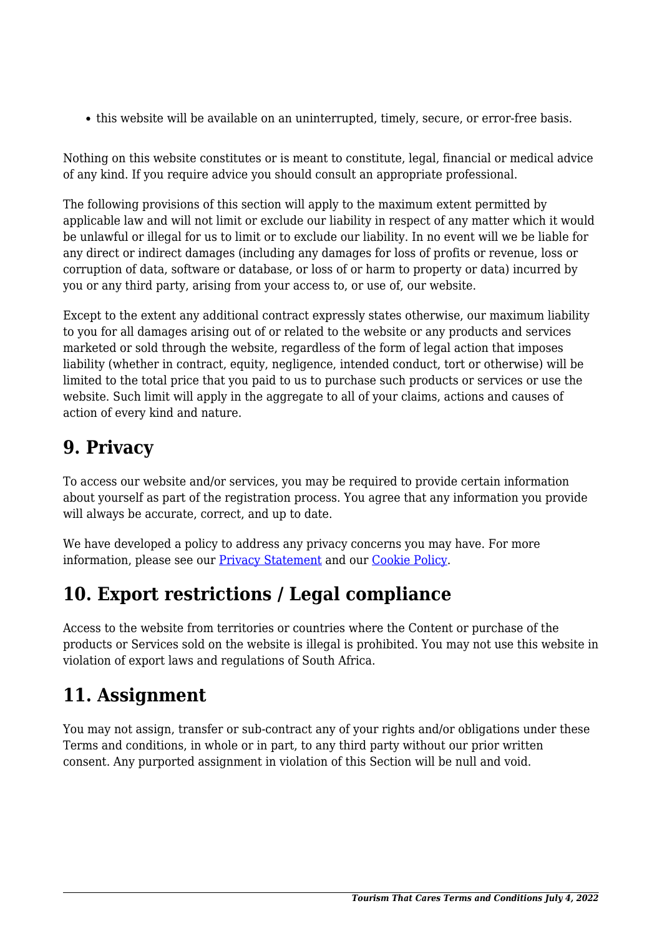this website will be available on an uninterrupted, timely, secure, or error-free basis.

Nothing on this website constitutes or is meant to constitute, legal, financial or medical advice of any kind. If you require advice you should consult an appropriate professional.

The following provisions of this section will apply to the maximum extent permitted by applicable law and will not limit or exclude our liability in respect of any matter which it would be unlawful or illegal for us to limit or to exclude our liability. In no event will we be liable for any direct or indirect damages (including any damages for loss of profits or revenue, loss or corruption of data, software or database, or loss of or harm to property or data) incurred by you or any third party, arising from your access to, or use of, our website.

Except to the extent any additional contract expressly states otherwise, our maximum liability to you for all damages arising out of or related to the website or any products and services marketed or sold through the website, regardless of the form of legal action that imposes liability (whether in contract, equity, negligence, intended conduct, tort or otherwise) will be limited to the total price that you paid to us to purchase such products or services or use the website. Such limit will apply in the aggregate to all of your claims, actions and causes of action of every kind and nature.

## **9. Privacy**

To access our website and/or services, you may be required to provide certain information about yourself as part of the registration process. You agree that any information you provide will always be accurate, correct, and up to date.

We have developed a policy to address any privacy concerns you may have. For more information, please see our **Privacy Statement** and our **[Cookie Policy](https://tourismthatcares.com/cooky-policy)**.

## **10. Export restrictions / Legal compliance**

Access to the website from territories or countries where the Content or purchase of the products or Services sold on the website is illegal is prohibited. You may not use this website in violation of export laws and regulations of South Africa.

## **11. Assignment**

You may not assign, transfer or sub-contract any of your rights and/or obligations under these Terms and conditions, in whole or in part, to any third party without our prior written consent. Any purported assignment in violation of this Section will be null and void.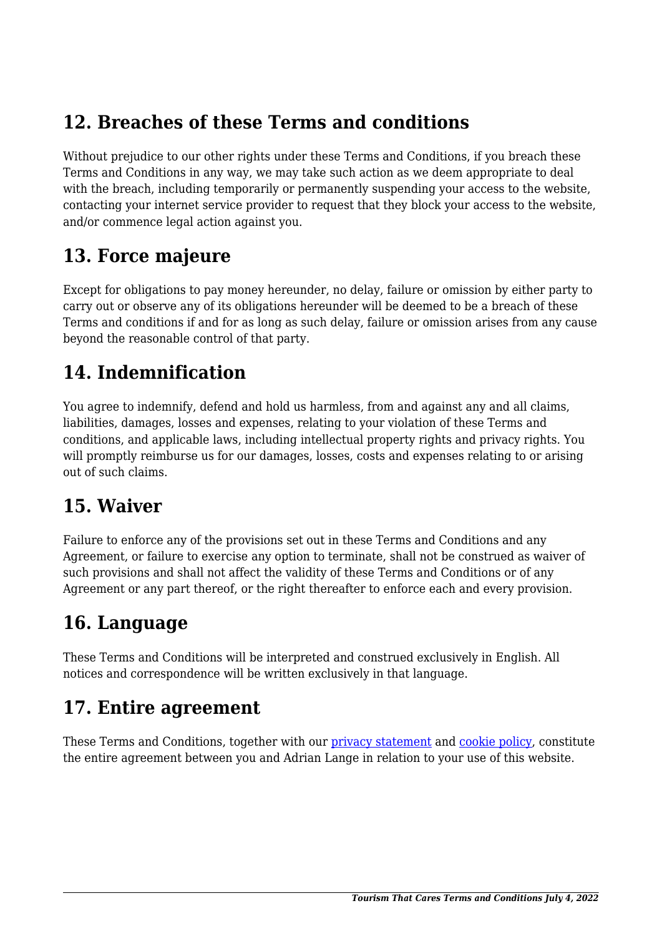## **12. Breaches of these Terms and conditions**

Without prejudice to our other rights under these Terms and Conditions, if you breach these Terms and Conditions in any way, we may take such action as we deem appropriate to deal with the breach, including temporarily or permanently suspending your access to the website, contacting your internet service provider to request that they block your access to the website, and/or commence legal action against you.

#### **13. Force majeure**

Except for obligations to pay money hereunder, no delay, failure or omission by either party to carry out or observe any of its obligations hereunder will be deemed to be a breach of these Terms and conditions if and for as long as such delay, failure or omission arises from any cause beyond the reasonable control of that party.

## **14. Indemnification**

You agree to indemnify, defend and hold us harmless, from and against any and all claims, liabilities, damages, losses and expenses, relating to your violation of these Terms and conditions, and applicable laws, including intellectual property rights and privacy rights. You will promptly reimburse us for our damages, losses, costs and expenses relating to or arising out of such claims.

## **15. Waiver**

Failure to enforce any of the provisions set out in these Terms and Conditions and any Agreement, or failure to exercise any option to terminate, shall not be construed as waiver of such provisions and shall not affect the validity of these Terms and Conditions or of any Agreement or any part thereof, or the right thereafter to enforce each and every provision.

## **16. Language**

These Terms and Conditions will be interpreted and construed exclusively in English. All notices and correspondence will be written exclusively in that language.

## **17. Entire agreement**

These Terms and Conditions, together with our [privacy statement](https://tourismthatcares.com/privacy-policy) and [cookie policy,](https://tourismthatcares.com/cooky-policy) constitute the entire agreement between you and Adrian Lange in relation to your use of this website.